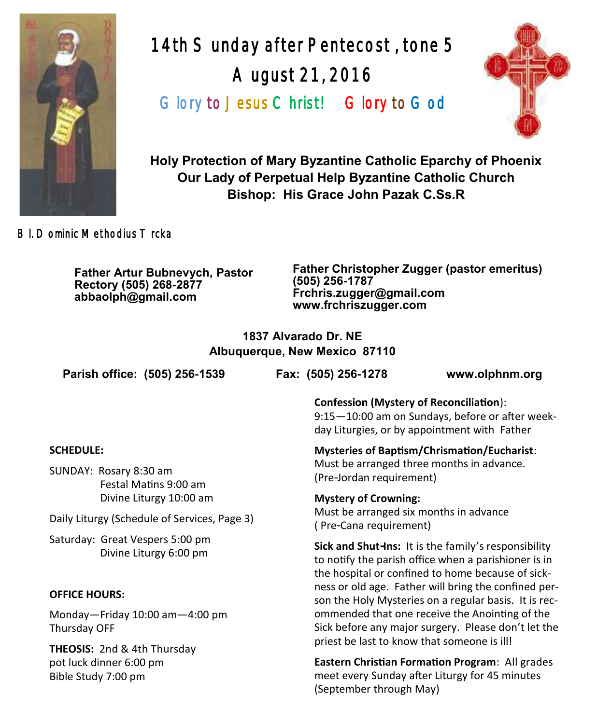

14th Sunday after Pentecost , tone 5 August 21, 2016 Glory to Jesus Christ! Glory to God



**Holy Protection of Mary Byzantine Catholic Eparchy of Phoenix Our Lady of Perpetual Help Byzantine Catholic Church Bishop: His Grace John Pazak C.Ss.R**

Bl. Dominic Methodius Trcka

**Father Artur Bubnevych, Pastor Rectory (505) 268-2877 abbaolph@gmail.com**

**Father Christopher Zugger (pastor emeritus) (505) 256-1787 Frchris.zugger@gmail.com www.frchriszugger.com** 

**1837 Alvarado Dr. NE Albuquerque, New Mexico 87110**

**Parish office: (505) 256-1539 Fax: (505) 256-1278 www.olphnm.org**

9:15—10:00 am on Sundays, before or after week-

day Liturgies, or by appointment with Father

**Confession (Mystery of Reconciliation**):

**Mysteries of Baptism/Chrismation/Eucharist**:

Must be arranged three months in advance. (Pre-Jordan requirement)

**Mystery of Crowning:**  Must be arranged six months in advance ( Pre-Cana requirement)

**Sick and Shut-Ins:** It is the family's responsibility to notify the parish office when a parishioner is in the hospital or confined to home because of sickness or old age. Father will bring the confined person the Holy Mysteries on a regular basis. It is recommended that one receive the Anointing of the Sick before any major surgery. Please don't let the priest be last to know that someone is ill!

**Eastern Christian Formation Program**: All grades meet every Sunday after Liturgy for 45 minutes (September through May)

### **SCHEDULE:**

SUNDAY: Rosary 8:30 am Festal Matins 9:00 am Divine Liturgy 10:00 am

Daily Liturgy (Schedule of Services, Page 3)

Saturday: Great Vespers 5:00 pm Divine Liturgy 6:00 pm

### **OFFICE HOURS:**

Monday—Friday 10:00 am—4:00 pm Thursday OFF

**THEOSIS:** 2nd & 4th Thursday pot luck dinner 6:00 pm Bible Study 7:00 pm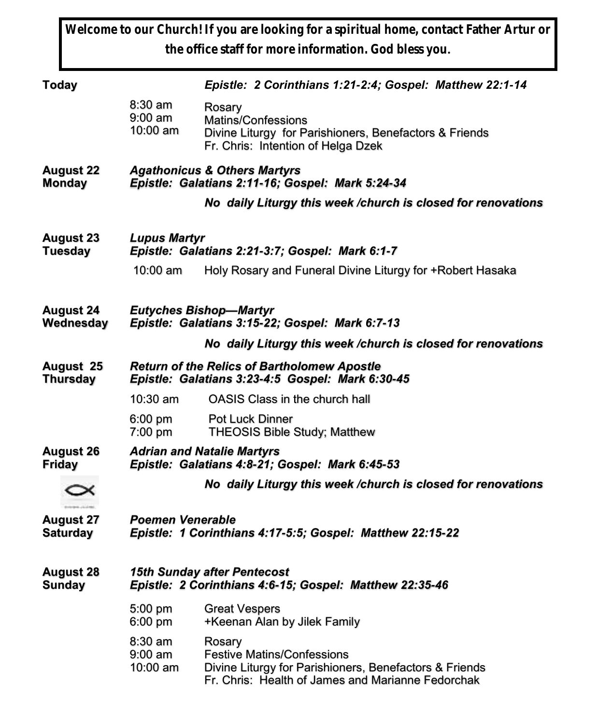**Welcome to our Church! If you are looking for a spiritual home, contact Father Artur or the office staff for more information. God bless you.**

| <b>Today</b>                        |                                                                                                        | Epistle: 2 Corinthians 1:21-2:4; Gospel: Matthew 22:1-14                                                                                                   |  |  |
|-------------------------------------|--------------------------------------------------------------------------------------------------------|------------------------------------------------------------------------------------------------------------------------------------------------------------|--|--|
|                                     | 8:30 am<br>$9:00 \text{ am}$<br>$10:00$ am                                                             | Rosary<br>Matins/Confessions<br>Divine Liturgy for Parishioners, Benefactors & Friends<br>Fr. Chris: Intention of Helga Dzek                               |  |  |
| <b>August 22</b><br><b>Monday</b>   | <b>Agathonicus &amp; Others Martyrs</b><br>Epistle: Galatians 2:11-16; Gospel: Mark 5:24-34            |                                                                                                                                                            |  |  |
|                                     |                                                                                                        | No daily Liturgy this week /church is closed for renovations                                                                                               |  |  |
| <b>August 23</b><br><b>Tuesday</b>  | <b>Lupus Martyr</b><br>Epistle: Galatians 2:21-3:7; Gospel: Mark 6:1-7                                 |                                                                                                                                                            |  |  |
|                                     | 10:00 am                                                                                               | Holy Rosary and Funeral Divine Liturgy for +Robert Hasaka                                                                                                  |  |  |
| <b>August 24</b><br>Wednesday       | <b>Eutyches Bishop-Martyr</b><br>Epistle: Galatians 3:15-22; Gospel: Mark 6:7-13                       |                                                                                                                                                            |  |  |
|                                     |                                                                                                        | No daily Liturgy this week /church is closed for renovations                                                                                               |  |  |
| August 25<br><b>Thursday</b>        | <b>Return of the Relics of Bartholomew Apostle</b><br>Epistle: Galatians 3:23-4:5 Gospel: Mark 6:30-45 |                                                                                                                                                            |  |  |
|                                     | $10:30$ am                                                                                             | OASIS Class in the church hall                                                                                                                             |  |  |
|                                     | 6:00 pm<br>7:00 pm                                                                                     | <b>Pot Luck Dinner</b><br>THEOSIS Bible Study; Matthew                                                                                                     |  |  |
| <b>August 26</b><br><b>Friday</b>   |                                                                                                        | <b>Adrian and Natalie Martyrs</b><br>Epistle: Galatians 4:8-21; Gospel: Mark 6:45-53                                                                       |  |  |
|                                     |                                                                                                        | No daily Liturgy this week /church is closed for renovations                                                                                               |  |  |
| <b>August 27</b><br><b>Saturday</b> | <b>Poemen Venerable</b><br>Epistle: 1 Corinthians 4:17-5:5; Gospel: Matthew 22:15-22                   |                                                                                                                                                            |  |  |
| <b>August 28</b><br><b>Sunday</b>   | <b>15th Sunday after Pentecost</b><br>Epistle: 2 Corinthians 4:6-15; Gospel: Matthew 22:35-46          |                                                                                                                                                            |  |  |
|                                     | 5:00 pm<br>6:00 pm                                                                                     | <b>Great Vespers</b><br>+Keenan Alan by Jilek Family                                                                                                       |  |  |
|                                     | 8:30 am<br>9:00 am<br>10:00 am                                                                         | Rosary<br><b>Festive Matins/Confessions</b><br>Divine Liturgy for Parishioners, Benefactors & Friends<br>Fr. Chris: Health of James and Marianne Fedorchak |  |  |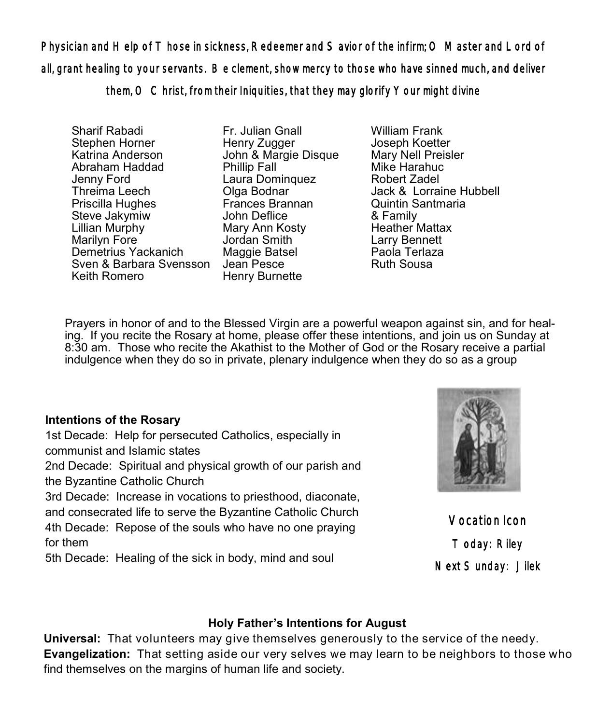Physician and Help of Those in sickness, Redeemer and Savior of the infirm; O Master and Lord of all, grant healing to your servants. Be clement, show mercy to those who have sinned much, and deliver them, O Christ, from their Iniquities, that they may glorify Your might divine

Sharif Rabadi Stephen Horner Katrina Anderson Abraham Haddad Jenny Ford Threima Leech Priscilla Hughes Steve Jakymiw Lillian Murphy Marilyn Fore Demetrius Yackanich Sven & Barbara Svensson Jean Pesce Keith Romero

Fr. Julian Gnall Henry Zugger John & Margie Disque Phillip Fall Laura Dominquez Olga Bodnar Frances Brannan John Deflice Mary Ann Kosty Jordan Smith Maggie Batsel Henry Burnette

William Frank Joseph Koetter Mary Nell Preisler Mike Harahuc Robert Zadel Jack & Lorraine Hubbell Quintin Santmaria & Family Heather Mattax Larry Bennett Paola Terlaza Ruth Sousa

Prayers in honor of and to the Blessed Virgin are a powerful weapon against sin, and for healing. If you recite the Rosary at home, please offer these intentions, and join us on Sunday at 8:30 am. Those who recite the Akathist to the Mother of God or the Rosary receive a partial indulgence when they do so in private, plenary indulgence when they do so as a group

# **Intentions of the Rosary**

1st Decade: Help for persecuted Catholics, especially in communist and Islamic states 2nd Decade: Spiritual and physical growth of our parish and the Byzantine Catholic Church 3rd Decade: Increase in vocations to priesthood, diaconate, and consecrated life to serve the Byzantine Catholic Church

4th Decade: Repose of the souls who have no one praying for them

5th Decade: Healing of the sick in body, mind and soul



Vocation Icon Today: Riley Next Sunday: Jilek

# **Holy Father's Intentions for August**

**Universal:** That volunteers may give themselves generously to the service of the needy. **Evangelization:** That setting aside our very selves we may learn to be neighbors to those who find themselves on the margins of human life and society.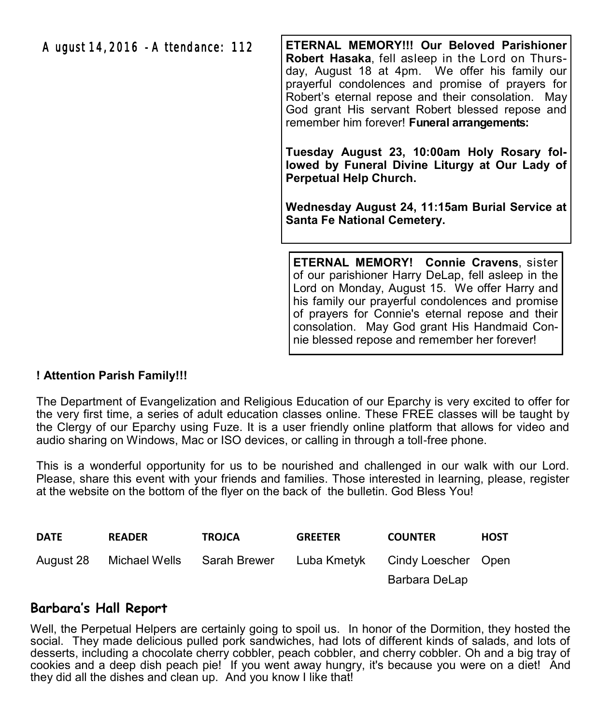August 14, 2016 - Attendance: 112

**ETERNAL MEMORY!!! Our Beloved Parishioner Robert Hasaka**, fell asleep in the Lord on Thursday, August 18 at 4pm. We offer his family our prayerful condolences and promise of prayers for Robert's eternal repose and their consolation. May God grant His servant Robert blessed repose and remember him forever! **Funeral arrangements:** 

**Tuesday August 23, 10:00am Holy Rosary followed by Funeral Divine Liturgy at Our Lady of Perpetual Help Church.** 

**Wednesday August 24, 11:15am Burial Service at Santa Fe National Cemetery.**

**ETERNAL MEMORY! Connie Cravens**, sister of our parishioner Harry DeLap, fell asleep in the Lord on Monday, August 15. We offer Harry and his family our prayerful condolences and promise of prayers for Connie's eternal repose and their consolation. May God grant His Handmaid Connie blessed repose and remember her forever!

### **! Attention Parish Family!!!**

The Department of Evangelization and Religious Education of our Eparchy is very excited to offer for the very first time, a series of adult education classes online. These FREE classes will be taught by the Clergy of our Eparchy using Fuze. It is a user friendly online platform that allows for video and audio sharing on Windows, Mac or ISO devices, or calling in through a toll-free phone.

This is a wonderful opportunity for us to be nourished and challenged in our walk with our Lord. Please, share this event with your friends and families. Those interested in learning, please, register at the website on the bottom of the flyer on the back of the bulletin. God Bless You!

| <b>DATE</b> | <b>READER</b> | <b>TROJCA</b> | <b>GREETER</b> | <b>COUNTER</b>      | <b>HOST</b> |
|-------------|---------------|---------------|----------------|---------------------|-------------|
| August 28   | Michael Wells | Sarah Brewer  | Luba Kmetvk    | Cindy Loescher Open |             |
|             |               |               |                | Barbara DeLap       |             |

# **Barbara's Hall Report**

Well, the Perpetual Helpers are certainly going to spoil us. In honor of the Dormition, they hosted the social. They made delicious pulled pork sandwiches, had lots of different kinds of salads, and lots of desserts, including a chocolate cherry cobbler, peach cobbler, and cherry cobbler. Oh and a big tray of cookies and a deep dish peach pie! If you went away hungry, it's because you were on a diet! And they did all the dishes and clean up. And you know I like that!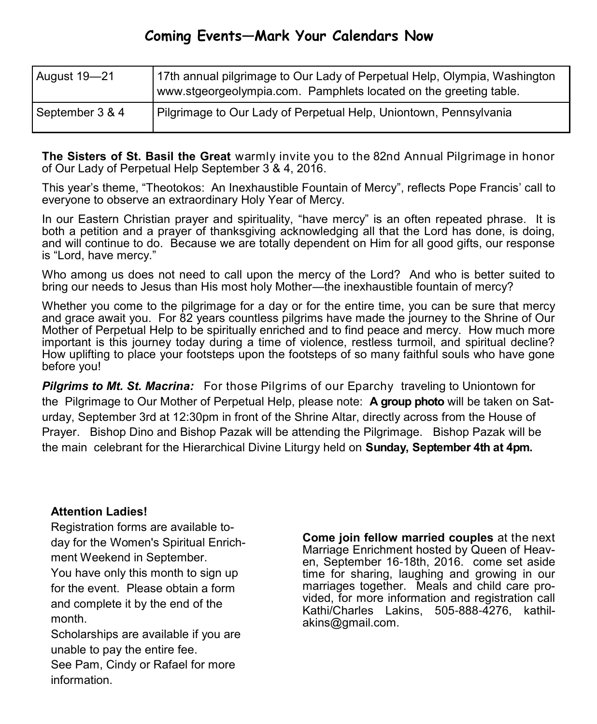# **Coming Events—Mark Your Calendars Now**

| August 19-21    | 17th annual pilgrimage to Our Lady of Perpetual Help, Olympia, Washington<br>www.stgeorgeolympia.com. Pamphlets located on the greeting table. |
|-----------------|------------------------------------------------------------------------------------------------------------------------------------------------|
| September 3 & 4 | Pilgrimage to Our Lady of Perpetual Help, Uniontown, Pennsylvania                                                                              |

**The Sisters of St. Basil the Great** warmly invite you to the 82nd Annual Pilgrimage in honor of Our Lady of Perpetual Help September 3 & 4, 2016.

This year's theme, "Theotokos: An Inexhaustible Fountain of Mercy", reflects Pope Francis' call to everyone to observe an extraordinary Holy Year of Mercy.

In our Eastern Christian prayer and spirituality, "have mercy" is an often repeated phrase. It is both a petition and a prayer of thanksgiving acknowledging all that the Lord has done, is doing, and will continue to do. Because we are totally dependent on Him for all good gifts, our response is "Lord, have mercy."

Who among us does not need to call upon the mercy of the Lord? And who is better suited to bring our needs to Jesus than His most holy Mother—the inexhaustible fountain of mercy?

Whether you come to the pilgrimage for a day or for the entire time, you can be sure that mercy and grace await you. For 82 years countless pilgrims have made the journey to the Shrine of Our Mother of Perpetual Help to be spiritually enriched and to find peace and mercy. How much more important is this journey today during a time of violence, restless turmoil, and spiritual decline? How uplifting to place your footsteps upon the footsteps of so many faithful souls who have gone before you!

**Pilgrims to Mt. St. Macrina:** For those Pilgrims of our Eparchy traveling to Uniontown for the Pilgrimage to Our Mother of Perpetual Help, please note: **A group photo** will be taken on Saturday, September 3rd at 12:30pm in front of the Shrine Altar, directly across from the House of Prayer. Bishop Dino and Bishop Pazak will be attending the Pilgrimage. Bishop Pazak will be the main celebrant for the Hierarchical Divine Liturgy held on **Sunday, September 4th at 4pm.**

### **Attention Ladies!**

Registration forms are available today for the Women's Spiritual Enrichment Weekend in September. You have only this month to sign up for the event. Please obtain a form

and complete it by the end of the month.

Scholarships are available if you are unable to pay the entire fee. See Pam, Cindy or Rafael for more information.

**Come join fellow married couples** at the next Marriage Enrichment hosted by Queen of Heaven, September 16-18th, 2016. come set aside time for sharing, laughing and growing in our marriages together. Meals and child care provided, for more information and registration call Kathi/Charles Lakins, 505-888-4276, kathilakins@gmail.com.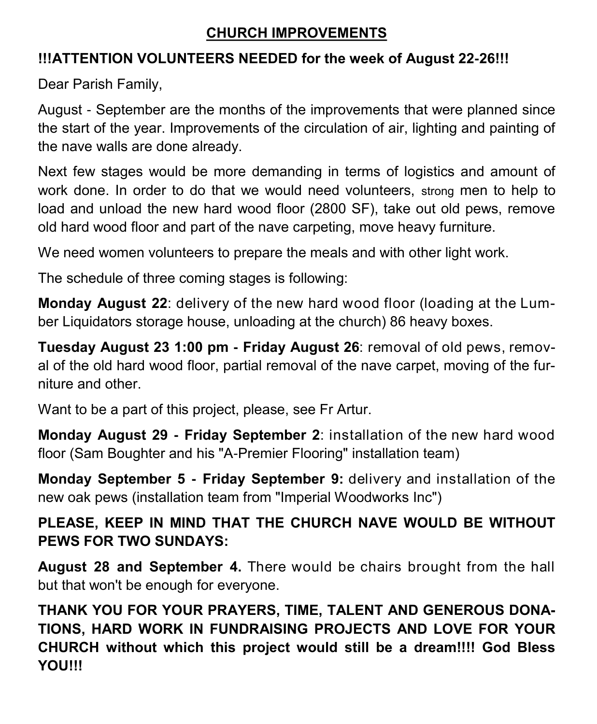# **CHURCH IMPROVEMENTS**

# **!!!ATTENTION VOLUNTEERS NEEDED for the week of August 22-26!!!**

Dear Parish Family,

August - September are the months of the improvements that were planned since the start of the year. Improvements of the circulation of air, lighting and painting of the nave walls are done already.

Next few stages would be more demanding in terms of logistics and amount of work done. In order to do that we would need volunteers, strong men to help to load and unload the new hard wood floor (2800 SF), take out old pews, remove old hard wood floor and part of the nave carpeting, move heavy furniture.

We need women volunteers to prepare the meals and with other light work.

The schedule of three coming stages is following:

**Monday August 22**: delivery of the new hard wood floor (loading at the Lumber Liquidators storage house, unloading at the church) 86 heavy boxes.

**Tuesday August 23 1:00 pm - Friday August 26**: removal of old pews, removal of the old hard wood floor, partial removal of the nave carpet, moving of the furniture and other.

Want to be a part of this project, please, see Fr Artur.

**Monday August 29 - Friday September 2**: installation of the new hard wood floor (Sam Boughter and his "A-Premier Flooring" installation team)

**Monday September 5 - Friday September 9:** delivery and installation of the new oak pews (installation team from "Imperial Woodworks Inc")

# **PLEASE, KEEP IN MIND THAT THE CHURCH NAVE WOULD BE WITHOUT PEWS FOR TWO SUNDAYS:**

**August 28 and September 4.** There would be chairs brought from the hall but that won't be enough for everyone.

**THANK YOU FOR YOUR PRAYERS, TIME, TALENT AND GENEROUS DONA-TIONS, HARD WORK IN FUNDRAISING PROJECTS AND LOVE FOR YOUR CHURCH without which this project would still be a dream!!!! God Bless YOU!!!**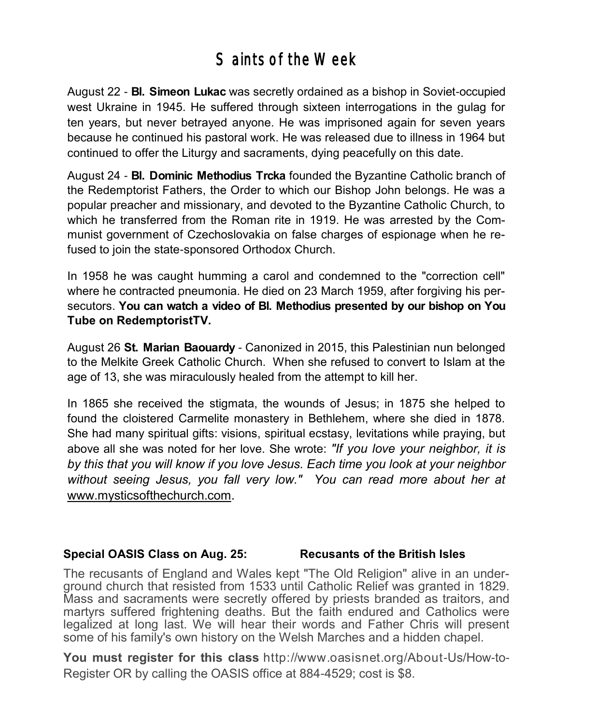# Saints of the Week

August 22 - **Bl. Simeon Lukac** was secretly ordained as a bishop in Soviet-occupied west Ukraine in 1945. He suffered through sixteen interrogations in the gulag for ten years, but never betrayed anyone. He was imprisoned again for seven years because he continued his pastoral work. He was released due to illness in 1964 but continued to offer the Liturgy and sacraments, dying peacefully on this date.

August 24 - **Bl. Dominic Methodius Trcka** founded the Byzantine Catholic branch of the Redemptorist Fathers, the Order to which our Bishop John belongs. He was a popular preacher and missionary, and devoted to the Byzantine Catholic Church, to which he transferred from the Roman rite in 1919. He was arrested by the Communist government of Czechoslovakia on false charges of espionage when he refused to join the state-sponsored Orthodox Church.

In 1958 he was caught humming a carol and condemned to the "correction cell" where he contracted pneumonia. He died on 23 March 1959, after forgiving his persecutors. **You can watch a video of Bl. Methodius presented by our bishop on You Tube on RedemptoristTV.** 

August 26 **St. Marian Baouardy** - Canonized in 2015, this Palestinian nun belonged to the Melkite Greek Catholic Church. When she refused to convert to Islam at the age of 13, she was miraculously healed from the attempt to kill her.

In 1865 she received the stigmata, the wounds of Jesus; in 1875 she helped to found the cloistered Carmelite monastery in Bethlehem, where she died in 1878. She had many spiritual gifts: visions, spiritual ecstasy, levitations while praying, but above all she was noted for her love. She wrote: *"If you love your neighbor, it is by this that you will know if you love Jesus. Each time you look at your neighbor without seeing Jesus, you fall very low." You can read more about her at*  [www.mysticsofthechurch.com](http://www.mysticsofthechurch.com/).

### **Special OASIS Class on Aug. 25: Recusants of the British Isles**

The recusants of England and Wales kept "The Old Religion" alive in an underground church that resisted from 1533 until Catholic Relief was granted in 1829. Mass and sacraments were secretly offered by priests branded as traitors, and martyrs suffered frightening deaths. But the faith endured and Catholics were legalized at long last. We will hear their words and Father Chris will present some of his family's own history on the Welsh Marches and a hidden chapel.

**You must register for this class** http://www.oasisnet.org/About-Us/How-to-Register OR by calling the OASIS office at 884-4529; cost is \$8.